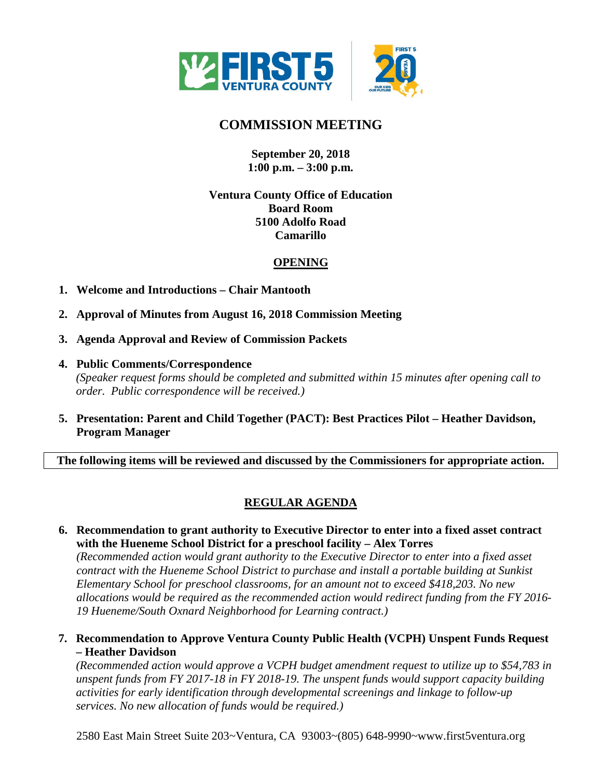

# **COMMISSION MEETING**

## **September 20, 2018 1:00 p.m. – 3:00 p.m.**

## **Ventura County Office of Education Board Room 5100 Adolfo Road Camarillo**

## **OPENING**

- **1. Welcome and Introductions Chair Mantooth**
- **2. Approval of Minutes from August 16, 2018 Commission Meeting**
- **3. Agenda Approval and Review of Commission Packets**
- **4. Public Comments/Correspondence** *(Speaker request forms should be completed and submitted within 15 minutes after opening call to order. Public correspondence will be received.)*
- **5. Presentation: Parent and Child Together (PACT): Best Practices Pilot Heather Davidson, Program Manager**

**The following items will be reviewed and discussed by the Commissioners for appropriate action.**

## **REGULAR AGENDA**

**6. Recommendation to grant authority to Executive Director to enter into a fixed asset contract with the Hueneme School District for a preschool facility – Alex Torres**

*(Recommended action would grant authority to the Executive Director to enter into a fixed asset contract with the Hueneme School District to purchase and install a portable building at Sunkist Elementary School for preschool classrooms, for an amount not to exceed \$418,203. No new allocations would be required as the recommended action would redirect funding from the FY 2016- 19 Hueneme/South Oxnard Neighborhood for Learning contract.)*

**7. Recommendation to Approve Ventura County Public Health (VCPH) Unspent Funds Request – Heather Davidson**

*(Recommended action would approve a VCPH budget amendment request to utilize up to \$54,783 in unspent funds from FY 2017-18 in FY 2018-19. The unspent funds would support capacity building activities for early identification through developmental screenings and linkage to follow-up services. No new allocation of funds would be required.)*